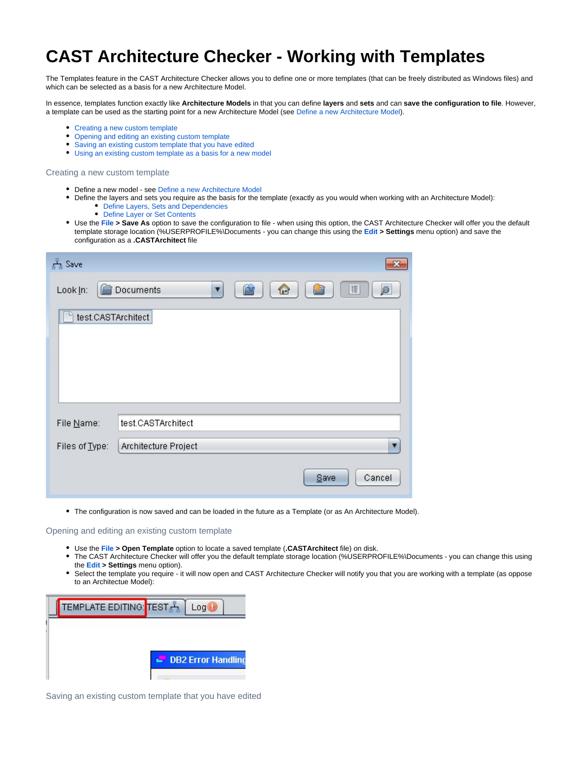## **CAST Architecture Checker - Working with Templates**

The Templates feature in the CAST Architecture Checker allows you to define one or more templates (that can be freely distributed as Windows files) and which can be selected as a basis for a new Architecture Model.

In essence, templates function exactly like **Architecture Models** in that you can define **layers** and **sets** and can **save the configuration to file**. However, a template can be used as the starting point for a new Architecture Model (see [Define a new Architecture Model](https://doc.castsoftware.com/display/DOCCOM/CAST+Architecture+Checker+-+Define+a+new+Architecture+Model)).

- Creating a new custom template
- $\bullet$ Opening and editing an existing custom template
- Saving an existing custom template that you have edited
- Using an existing custom template as a basis for a new model

Creating a new custom template

- Define a new model see [Define a new Architecture Model](https://doc.castsoftware.com/display/DOCCOM/CAST+Architecture+Checker+-+Define+a+new+Architecture+Model)
- Define the layers and sets you require as the basis for the template (exactly as you would when working with an Architecture Model):
	- [Define Layers, Sets and Dependencies](https://doc.castsoftware.com/display/DOCCOM/CAST+Architecture+Checker+-+Define+Layers%2C+Sets+and+Dependencies)
	- [Define Layer or Set Contents](https://doc.castsoftware.com/display/DOCCOM/CAST+Architecture+Checker+-+Define+Layer+or+Set+Contents)
- Use the **[File](https://doc.castsoftware.com/display/DOCCOM/CAST+Architecture+Checker+-+File+menu) > Save As** option to save the configuration to file when using this option, the CAST Architecture Checker will offer you the default template storage location (%USERPROFILE%\Documents - you can change this using the **[Edit](https://doc.castsoftware.com/display/DOCCOM/CAST+Architecture+Checker+-+Edit+menu) > Settings** menu option) and save the configuration as a **.CASTArchitect** file

| A Save             |                                   | $\mathbf{x}$   |  |
|--------------------|-----------------------------------|----------------|--|
| Look In:           | $\bigcirc$<br>简<br>Documents<br>▼ | E<br>ø         |  |
| test.CASTArchitect |                                   |                |  |
|                    |                                   |                |  |
|                    |                                   |                |  |
|                    |                                   |                |  |
| File Name:         | test.CASTArchitect                |                |  |
| Files of Type:     | Architecture Project              |                |  |
|                    |                                   | Cancel<br>Save |  |

The configuration is now saved and can be loaded in the future as a Template (or as An Architecture Model).

Opening and editing an existing custom template

- Use the **[File](https://doc.castsoftware.com/display/DOCCOM/CAST+Architecture+Checker+-+File+menu) > Open Template** option to locate a saved template (**.CASTArchitect** file) on disk.
- $\bullet$ The CAST Architecture Checker will offer you the default template storage location (%USERPROFILE%\Documents - you can change this using the **[Edit](https://doc.castsoftware.com/display/DOCCOM/CAST+Architecture+Checker+-+Edit+menu) > Settings** menu option).
- $\bullet$ Select the template you require - it will now open and CAST Architecture Checker will notify you that you are working with a template (as oppose to an Architectue Model):



Saving an existing custom template that you have edited